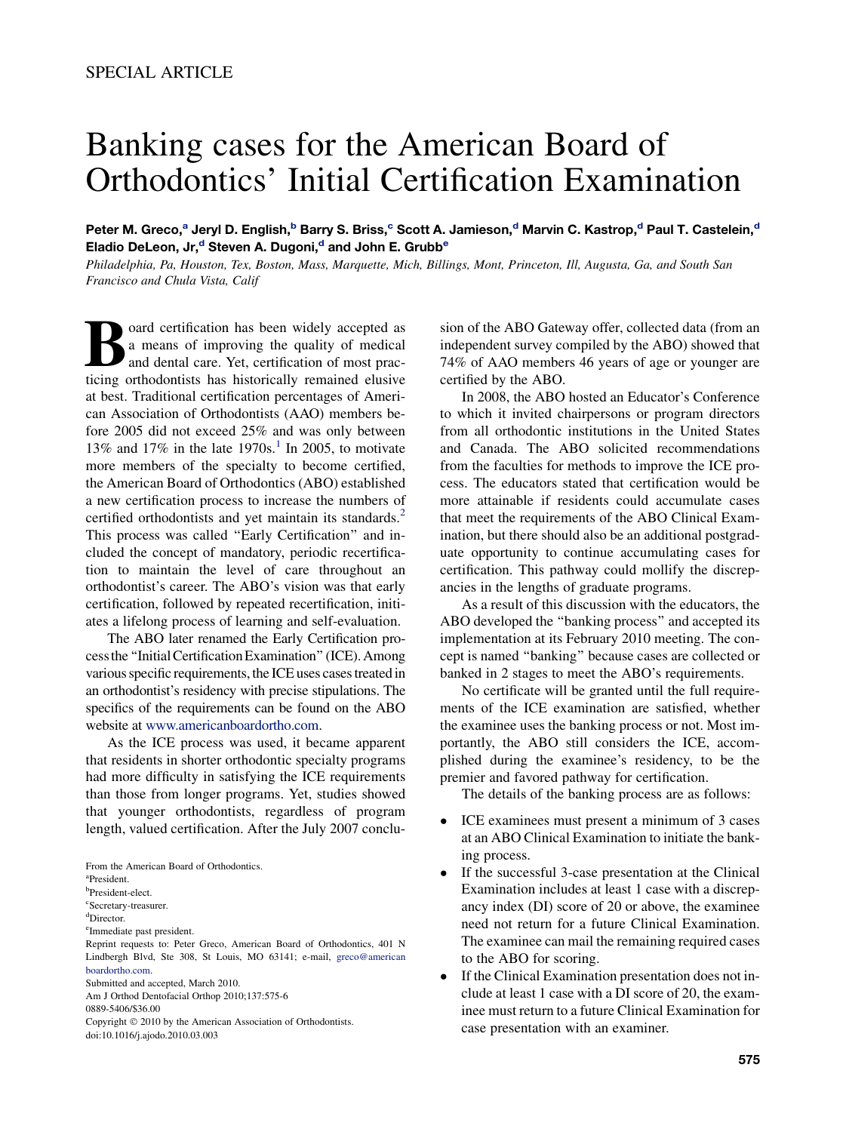## Banking cases for the American Board of Orthodontics' Initial Certification Examination

Peter M. Greco,<sup>a</sup> Jeryl D. English,<sup>b</sup> Barry S. Briss,<sup>c</sup> Scott A. Jamieson,<sup>d</sup> Marvin C. Kastrop,<sup>d</sup> Paul T. Castelein,<sup>d</sup> Eladio DeLeon, Jr,<sup>d</sup> Steven A. Dugoni,<sup>d</sup> and John E. Grubb<sup>e</sup>

Philadelphia, Pa, Houston, Tex, Boston, Mass, Marquette, Mich, Billings, Mont, Princeton, Ill, Augusta, Ga, and South San Francisco and Chula Vista, Calif

a means of improving the quality of medical<br>and dental care. Yet, certification of most practicing orthodontists has historically remained elusively a means of improving the quality of medical and dental care. Yet, certification of most practicing orthodontists has historically remained elusive at best. Traditional certification percentages of American Association of Orthodontists (AAO) members before 2005 did not exceed 25% and was only between [1](#page-1-0)3% and 17% in the late  $1970s<sup>1</sup>$  In 2005, to motivate more members of the specialty to become certified, the American Board of Orthodontics (ABO) established a new certification process to increase the numbers of certified orthodontists and yet maintain its standards.<sup>[2](#page-1-0)</sup> This process was called "Early Certification" and included the concept of mandatory, periodic recertification to maintain the level of care throughout an orthodontist's career. The ABO's vision was that early certification, followed by repeated recertification, initiates a lifelong process of learning and self-evaluation.

The ABO later renamed the Early Certification processthe ''InitialCertificationExamination'' (ICE). Among various specific requirements, the ICE uses cases treated in an orthodontist's residency with precise stipulations. The specifics of the requirements can be found on the ABO website at [www.americanboardortho.com](http://www.americanboardortho.com).

As the ICE process was used, it became apparent that residents in shorter orthodontic specialty programs had more difficulty in satisfying the ICE requirements than those from longer programs. Yet, studies showed that younger orthodontists, regardless of program length, valued certification. After the July 2007 conclu-

From the American Board of Orthodontics.

a President.

b President-elect.

c Secretary-treasurer.

d Director.

e Immediate past president.

Reprint requests to: Peter Greco, American Board of Orthodontics, 401 N Lindbergh Blvd, Ste 308, St Louis, MO 63141; e-mail, [greco@american](mailto:greco@americanboardortho.com) [boardortho.com.](mailto:greco@americanboardortho.com)

Submitted and accepted, March 2010.

Am J Orthod Dentofacial Orthop 2010;137:575-6

0889-5406/\$36.00

Copyright © 2010 by the American Association of Orthodontists. doi:10.1016/j.ajodo.2010.03.003

sion of the ABO Gateway offer, collected data (from an independent survey compiled by the ABO) showed that 74% of AAO members 46 years of age or younger are certified by the ABO.

In 2008, the ABO hosted an Educator's Conference to which it invited chairpersons or program directors from all orthodontic institutions in the United States and Canada. The ABO solicited recommendations from the faculties for methods to improve the ICE process. The educators stated that certification would be more attainable if residents could accumulate cases that meet the requirements of the ABO Clinical Examination, but there should also be an additional postgraduate opportunity to continue accumulating cases for certification. This pathway could mollify the discrepancies in the lengths of graduate programs.

As a result of this discussion with the educators, the ABO developed the ''banking process'' and accepted its implementation at its February 2010 meeting. The concept is named ''banking'' because cases are collected or banked in 2 stages to meet the ABO's requirements.

No certificate will be granted until the full requirements of the ICE examination are satisfied, whether the examinee uses the banking process or not. Most importantly, the ABO still considers the ICE, accomplished during the examinee's residency, to be the premier and favored pathway for certification.

The details of the banking process are as follows:

- ICE examinees must present a minimum of 3 cases at an ABO Clinical Examination to initiate the banking process.
- $\bullet$  If the successful 3-case presentation at the Clinical Examination includes at least 1 case with a discrepancy index (DI) score of 20 or above, the examinee need not return for a future Clinical Examination. The examinee can mail the remaining required cases to the ABO for scoring.
- $\bullet$  If the Clinical Examination presentation does not include at least 1 case with a DI score of 20, the examinee must return to a future Clinical Examination for case presentation with an examiner.